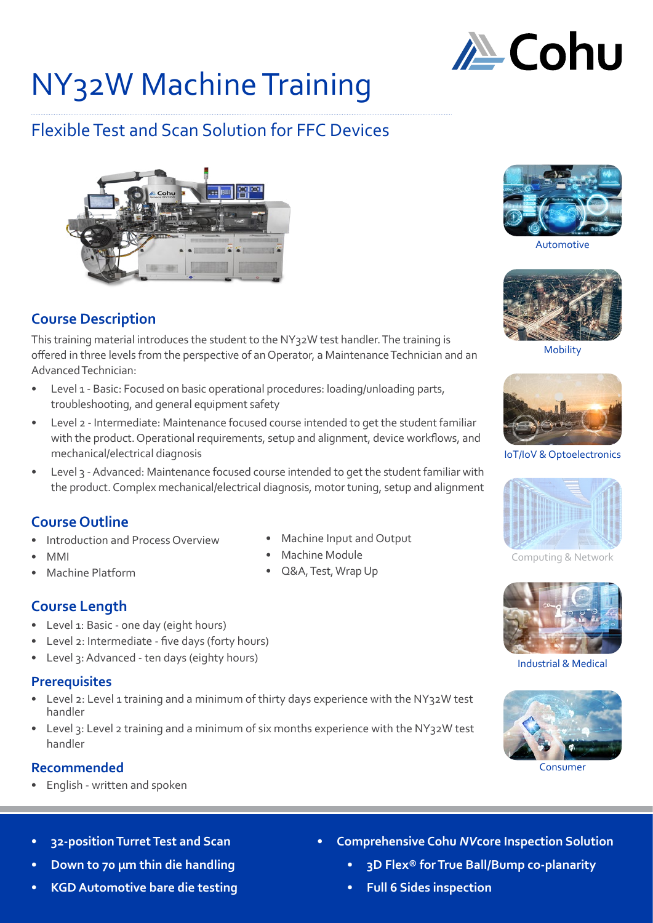

# NY32W Machine Training

# Flexible Test and Scan Solution for FFC Devices



# **Course Description**

This training material introduces the student to the NY32W test handler. The training is offered in three levels from the perspective of an Operator, a Maintenance Technician and an Advanced Technician:

- Level 1 Basic: Focused on basic operational procedures: loading/unloading parts, troubleshooting, and general equipment safety
- Level 2 Intermediate: Maintenance focused course intended to get the student familiar with the product. Operational requirements, setup and alignment, device workflows, and mechanical/electrical diagnosis
- Level 3 Advanced: Maintenance focused course intended to get the student familiar with the product. Complex mechanical/electrical diagnosis, motor tuning, setup and alignment

# **Course Outline**

- Introduction and Process Overview
- MMI
- Machine Platform
- **Course Length**
- Level 1: Basic one day (eight hours)
- Level 2: Intermediate five days (forty hours)
- Level 3: Advanced ten days (eighty hours)

# **Prerequisites**

- Level 2: Level 1 training and a minimum of thirty days experience with the NY32W test handler
- Level 3: Level 2 training and a minimum of six months experience with the NY32W test handler

# **Recommended**

• English - written and spoken

- Machine Input and Output
- Machine Module
- Q&A, Test, Wrap Up



Automotive



Mobility



IoT/IoV & Optoelectronics



Computing & Network



Industrial & Medical



Consumer

- **• 32-position Turret Test and Scan**
- **• Down to 70 µm thin die handling**
- **• KGD Automotive bare die testing**
- **• Comprehensive Cohu** *NV***core Inspection Solution**
	- **• 3D Flex® for True Ball/Bump co-planarity**
	- **• Full 6 Sides inspection**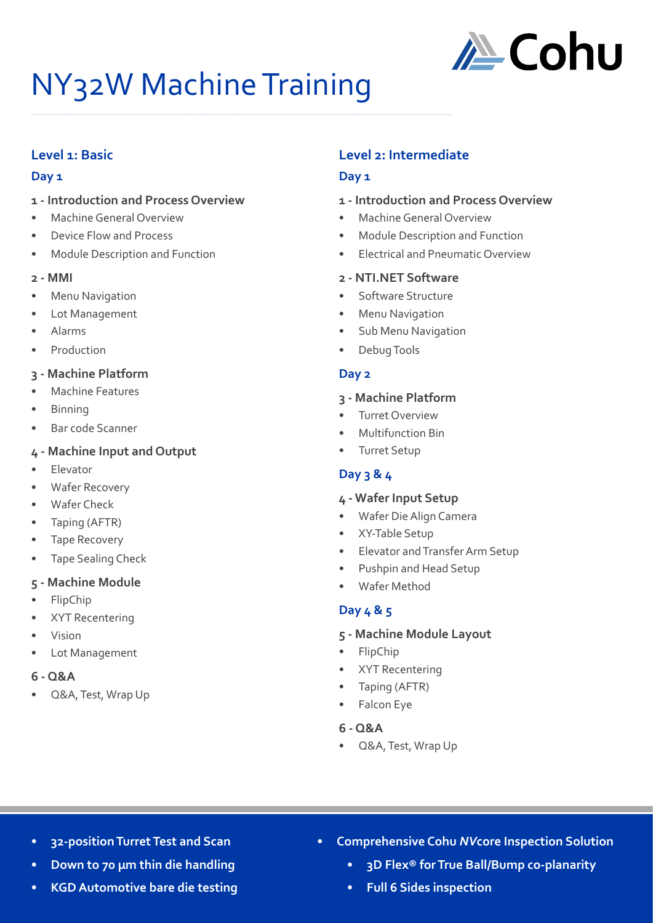

# NY32W Machine Training

# **Level 1: Basic**

#### **Day 1**

- **1 Introduction and Process Overview**
- Machine General Overview
- Device Flow and Process
- Module Description and Function

#### **2 - MMI**

- **Menu Navigation**
- Lot Management
- Alarms
- **Production**

# **3 - Machine Platform**

- Machine Features
- Binning
- Bar code Scanner

# **4 - Machine Input and Output**

- **Elevator**
- Wafer Recovery
- Wafer Check
- Taping (AFTR)
- Tape Recovery
- Tape Sealing Check

#### **5 - Machine Module**

- FlipChip
- XYT Recentering
- Vision
- Lot Management
- **6 Q&A**
- Q&A, Test, Wrap Up

# **Level 2: Intermediate**

# **Day 1**

#### **1 - Introduction and Process Overview**

- Machine General Overview
- Module Description and Function
- Electrical and Pneumatic Overview

#### **2 - NTI.NET Software**

- Software Structure
- Menu Navigation
- Sub Menu Navigation
- Debug Tools

#### **Day 2**

#### **3 - Machine Platform**

- Turret Overview
- Multifunction Bin
- Turret Setup

# **Day 3 & 4**

#### **4 - Wafer Input Setup**

- Wafer Die Align Camera
- XY-Table Setup
- Elevator and Transfer Arm Setup
- Pushpin and Head Setup
- Wafer Method

# **Day 4 & 5**

#### **5 - Machine Module Layout**

- FlipChip
- XYT Recentering
- Taping (AFTR)
- Falcon Eye

# **6 - Q&A**

• Q&A, Test, Wrap Up

- **• 32-position Turret Test and Scan**
- **• Down to 70 µm thin die handling**
- **• KGD Automotive bare die testing**
- **• Comprehensive Cohu** *NV***core Inspection Solution**
	- **• 3D Flex® for True Ball/Bump co-planarity**
	- **• Full 6 Sides inspection**